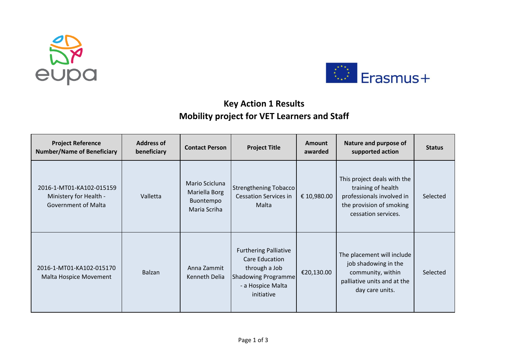



## **Key Action 1 Results Mobility project for VET Learners and Staff**

| <b>Project Reference</b><br><b>Number/Name of Beneficiary</b>                    | <b>Address of</b><br>beneficiary | <b>Contact Person</b>                                        | <b>Project Title</b>                                                                                                      | <b>Amount</b><br>awarded | Nature and purpose of<br>supported action                                                                                         | <b>Status</b> |
|----------------------------------------------------------------------------------|----------------------------------|--------------------------------------------------------------|---------------------------------------------------------------------------------------------------------------------------|--------------------------|-----------------------------------------------------------------------------------------------------------------------------------|---------------|
| 2016-1-MT01-KA102-015159<br>Ministery for Health -<br><b>Government of Malta</b> | Valletta                         | Mario Scicluna<br>Mariella Borg<br>Buontempo<br>Maria Scriha | Strengthening Tobacco<br><b>Cessation Services in</b><br>Malta                                                            | € 10,980.00              | This project deals with the<br>training of health<br>professionals involved in<br>the provision of smoking<br>cessation services. | Selected      |
| 2016-1-MT01-KA102-015170<br>Malta Hospice Movement                               | Balzan                           | Anna Zammit<br>Kenneth Delia                                 | <b>Furthering Palliative</b><br>Care Education<br>through a Job<br>Shadowing Programme<br>- a Hospice Malta<br>initiative | €20,130.00               | The placement will include<br>job shadowing in the<br>community, within<br>palliative units and at the<br>day care units.         | Selected      |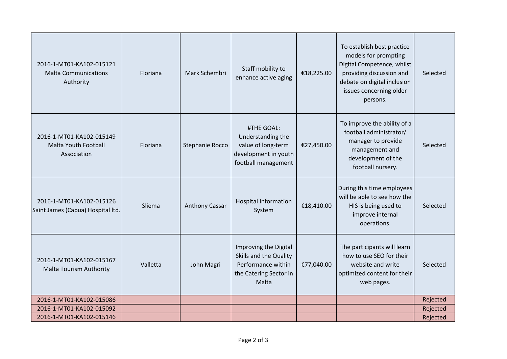| 2016-1-MT01-KA102-015121<br><b>Malta Communications</b><br>Authority   | Floriana | Mark Schembri   | Staff mobility to<br>enhance active aging                                                                | €18,225.00 | To establish best practice<br>models for prompting<br>Digital Competence, whilst<br>providing discussion and<br>debate on digital inclusion<br>issues concerning older<br>persons. | Selected |
|------------------------------------------------------------------------|----------|-----------------|----------------------------------------------------------------------------------------------------------|------------|------------------------------------------------------------------------------------------------------------------------------------------------------------------------------------|----------|
| 2016-1-MT01-KA102-015149<br><b>Malta Youth Football</b><br>Association | Floriana | Stephanie Rocco | #THE GOAL:<br>Understanding the<br>value of long-term<br>development in youth<br>football management     | €27,450.00 | To improve the ability of a<br>football administrator/<br>manager to provide<br>management and<br>development of the<br>football nursery.                                          | Selected |
| 2016-1-MT01-KA102-015126<br>Saint James (Capua) Hospital Itd.          | Sliema   | Anthony Cassar  | <b>Hospital Information</b><br>System                                                                    | €18,410.00 | During this time employees<br>will be able to see how the<br>HIS is being used to<br>improve internal<br>operations.                                                               | Selected |
| 2016-1-MT01-KA102-015167<br><b>Malta Tourism Authority</b>             | Valletta | John Magri      | Improving the Digital<br>Skills and the Quality<br>Performance within<br>the Catering Sector in<br>Malta | €77,040.00 | The participants will learn<br>how to use SEO for their<br>website and write<br>optimized content for their<br>web pages.                                                          | Selected |
| 2016-1-MT01-KA102-015086                                               |          |                 |                                                                                                          |            |                                                                                                                                                                                    | Rejected |
| 2016-1-MT01-KA102-015092                                               |          |                 |                                                                                                          |            |                                                                                                                                                                                    | Rejected |
| 2016-1-MT01-KA102-015146                                               |          |                 |                                                                                                          |            |                                                                                                                                                                                    | Rejected |